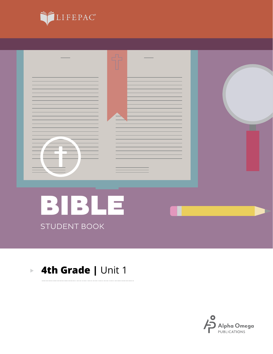



. . . . . . . . . . .

#### **4th Grade |** Unit 1 $\overline{\mathbb{R}}$

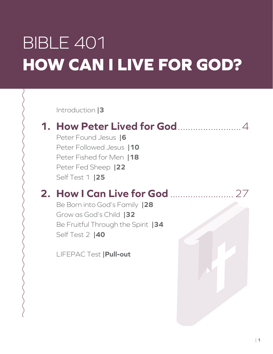# BIBLE 401 **HOW CAN I LIVE FOR GOD?**

Introduction **|3**

### **1. How Peter Lived for God**.........................4

Peter Found Jesus **|6** Peter Followed Jesus **|10** Peter Fished for Men **|18** Peter Fed Sheep **|22** Self Test 1 **|25**

### **2. How I Can Live for God** .........................27

Be Born into God's Family **|28** Grow as God's Child **|32** Be Fruitful Through the Spirit **|34** Self Test 2 **|40**

LIFEPAC Test **|Pull-out**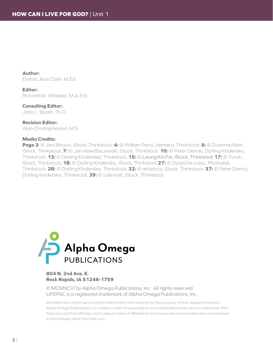**Author:** Emma Jean Clark, M.Ed.

**Editor:** Richard W. Wheeler, M.A. Ed.

**Consulting Editor:** John L. Booth, Th.D.

**Revision Editor:** Alan Christopherson, M.S.

#### **Media Credits:**

**Page 3**: © Jani Bryson, iStock, Thinkstock; **4:** © William Perry, Hemera, Thinkstock; **6:** © ZvonimirAtleti, iStock, Thinkstock; **7:** © Jaroslaw Baczewski, iStock, Thinkstock; **10:** © Peter Dennis, Dorling Kindersley, Thinkstock; **13:** © Dorling Kindersley, Thinkstock; **15:** © Leong Kin Fei, iStock, Thinkstock **17:** © Yuran, iStock, Thinkstock; **18:** © Dorling Kindersley, iStock, Thinkstock **27:** © David De Lossy, Photodisk, Thinkstock; **28:** © Dorling Kindersley, Thinkstock; **32:** © artisitcco, iStock, Thinkstock; **37:** © Peter Dennis, Dorling Kindersley, Thinkstock; **39:** © colematt, iStock, Thinkstock.



#### **804 N. 2nd Ave. E. Rock Rapids, IA 51246-1759**

© MCMXCVI by Alpha Omega Publications, Inc. All rights reserved. LIFEPAC is a registered trademark of Alpha Omega Publications, Inc.

All trademarks and/or service marks referenced in this material are the property of their respective owners. Alpha Omega Publications, Inc. makes no claim of ownership to any trademarks and/or service marks other than their own and their affiliates, and makes no claim of affiliation to any companies whose trademarks may be listed in this material, other than their own.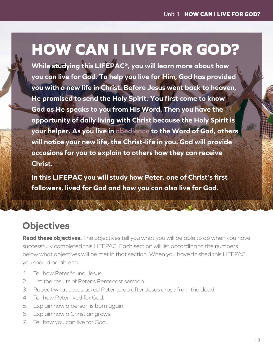## **HOW CAN I LIVE FOR GOD?**

**While studying this LIFEPAC®, you will learn more about how you can live for God. To help you live for Him, God has provided you with a new life in Christ. Before Jesus went back to heaven, He promised to send the Holy Spirit. You first come to know God as He speaks to you from His Word. Then you have the opportunity of daily living with Christ because the Holy Spirit is your helper. As you live in obedience to the Word of God, others will notice your new life, the Christ-life in you. God will provide occasions for you to explain to others how they can receive Christ.**

**In this LIFEPAC you will study how Peter, one of Christ's first followers, lived for God and how you can also live for God.**

### **Objectives**

**Read these objectives.** The objectives tell you what you will be able to do when you have successfully completed this LIFEPAC. Each section will list according to the numbers below what objectives will be met in that section. When you have finished this LIFEPAC, you should be able to:

A PRESIDENT AND THE PARTIES OF THE PARTY

- 1. Tell how Peter found Jesus.
- 2. List the results of Peter's Pentecost sermon.
- 3. Repeat what Jesus asked Peter to do after Jesus arose from the dead.
- 4. Tell how Peter lived for God.
- 5. Explain how a person is born again.
- 6. Explain how a Christian grows.
- 7. Tell how you can live for God.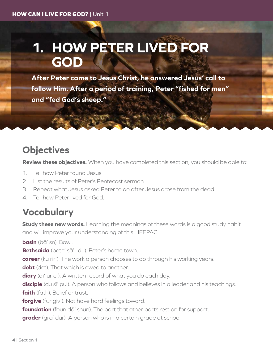## **1. HOW PETER LIVED FOR GOD**

**After Peter came to Jesus Christ, he answered Jesus' call to follow Him. After a period of training, Peter "fished for men" and "fed God's sheep."**

### **Objectives**

**Review these objectives.** When you have completed this section, you should be able to:

- 1. Tell how Peter found Jesus.
- 2. List the results of Peter's Pentecost sermon.
- 3. Repeat what Jesus asked Peter to do after Jesus arose from the dead.
- 4. Tell how Peter lived for God.

### **Vocabulary**

**Study these new words.** Learning the meanings of these words is a good study habit and will improve your understanding of this LIFEPAC.

**basin** (bā' sn). Bowl.

**Bethsaida** (beth' sā' i du). Peter's home town.

**career** (ku rir'). The work a person chooses to do through his working years.

**debt** (det). That which is owed to another.

**diary** (dī' ur ē ). A written record of what you do each day.

**disciple** (du sī' pul). A person who follows and believes in a leader and his teachings. **faith** (fāth). Belief or trust.

**forgive** (fur giv'). Not have hard feelings toward.

**foundation** (foun dā' shun). The part that other parts rest on for support.

**grader** (grā' dur). A person who is in a certain grade at school.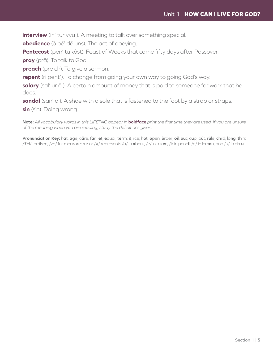**interview** (in' tur vyü ). A meeting to talk over something special.

**obedience** (ō bē' dē uns). The act of obeying.

**Pentecost** (pen' tu kôst). Feast of Weeks that came fifty days after Passover.

**pray** (prā). To talk to God.

**preach** (prē ch). To give a sermon.

**repent** (ri pent'). To change from going your own way to going God's way.

**salary** (sal' ur ē ). A certain amount of money that is paid to someone for work that he does.

**sandal** (san' dl). A shoe with a sole that is fastened to the foot by a strap or straps.

**sin** (sin). Doing wrong.

**Note:** *All vocabulary words in this LIFEPAC appear in* **boldface** *print the first time they are used. If you are unsure of the meaning when you are reading, study the definitions given.*

Pronunciation Key: hat, āge, cãre, fär; let, ēqual, tėrm; it, īce; hot, ōpen, ôrder; oil; out; cup, put, rüle; child; long; thin; /ŦH/ for **th**en; /zh/ for mea**s**ure; /u/ or / <sup>e</sup> / represents /a/ in **a**bout, /e/ in tak**e**n, /i/ in penc**i**l, /o/ in lem**o**n, and /u/ in circ**u**s.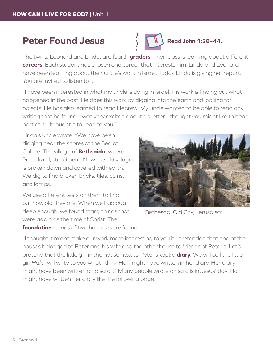#### **Peter Found Jesus**



The twins, Leonard and Linda, are fourth **graders**. Their class is learning about different **careers**. Each student has chosen one career that interests him. Linda and Leonard have been learning about their uncle's work in Israel. Today Linda is giving her report. You are invited to listen to it.

"I have been interested in what my uncle is doing in Israel. His work is finding out what happened in the past. He does this work by digging into the earth and looking for objects. He has also learned to read Hebrew. My uncle wanted to be able to read any writing that he found. I was very excited about his letter. I thought you might like to hear part of it. I brought it to read to you."

Linda's uncle wrote, "We have been digging near the shores of the Sea of Galilee. The village of **Bethsaida**, where Peter lived, stood here. Now the old village is broken down and covered with earth. We dig to find broken bricks, tiles, coins, and lamps.

We use different tests on them to find out how old they are. When we had dug deep enough, we found many things that were as old as the time of Christ. The

**foundation** stones of two houses were found.



| Bethesda. Old City, Jerusalem

"I thought it might make our work more interesting to you if I pretended that one of the houses belonged to Peter and his wife and the other house to friends of Peter's. Let's pretend that the little girl in the house next to Peter's kept a **diary.** We will call the little girl *Hali*. I will write to you what I think Hali might have written in her diary. Her diary might have been written on a scroll." Many people wrote on scrolls in Jesus' day. Hali might have written her diary like the following page.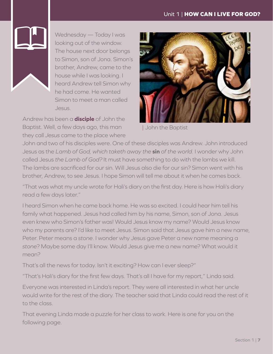

Wednesday — Today I was looking out of the window. The house next door belongs to Simon, son of Jona. Simon's brother, Andrew, came to the house while I was looking. I heard Andrew tell Simon why he had come. He wanted Simon to meet a man called Jesus.

Andrew has been a **disciple** of John the Baptist. Well, a few days ago, this man they call *Jesus* came to the place where



| John the Baptist

John and two of his disciples were. One of these disciples was Andrew. John introduced Jesus as the *Lamb of God, which taketh away the* **sin** *of the world.* I wonder why John called Jesus *the Lamb of God?* It must have something to do with the lambs we kill. The lambs are sacrificed for our sin. Will Jesus also die for our sin? Simon went with his brother, Andrew, to see Jesus. I hope Simon will tell me about it when he comes back.

"That was what my uncle wrote for Hali's diary on the first day. Here is how Hali's diary read a few days later."

I heard Simon when he came back home. He was so excited. I could hear him tell his family what happened. Jesus had called him by his name, Simon, son of Jona. Jesus even knew who Simon's father was! Would Jesus know my name? Would Jesus know who my parents are? I'd like to meet Jesus. Simon said that Jesus gave him a new name, Peter. Peter means a *stone*. I wonder why Jesus gave Peter a new name meaning a *stone*? Maybe some day I'll know. Would Jesus give me a new name? What would it mean?

That's all the news for today. Isn't it exciting? How can I ever sleep?"

"That's Hali's diary for the first few days. That's all I have for my report," Linda said.

Everyone was interested in Linda's report. They were all interested in what her uncle would write for the rest of the diary. The teacher said that Linda could read the rest of it to the class.

That evening Linda made a puzzle for her class to work. Here is one for you on the following page.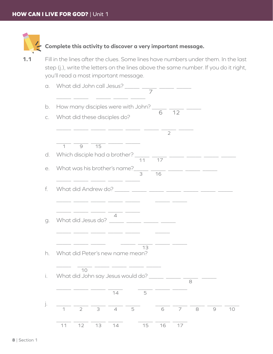

#### **Complete this activity to discover a very important message.**

**1.1** Fill in the lines after the clues. Some lines have numbers under them. In the last step (j.), write the letters on the lines above the same number. If you do it right, you'll read a most important message.

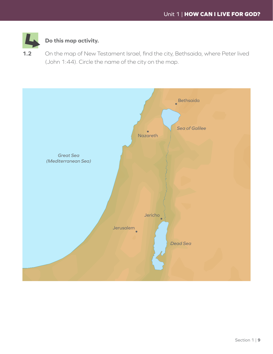

#### **Do this map activity.**

**1.2** On the map of New Testament Israel, find the city, Bethsaida, where Peter lived (John 1:44). Circle the name of the city on the map.

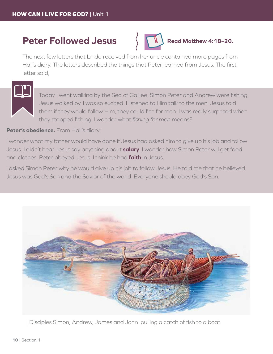#### **Peter Followed Jesus**



**Read Matthew 4:18–20.**

The next few letters that Linda received from her uncle contained more pages from Hali's diary. The letters described the things that Peter learned from Jesus. The first letter said,



Today I went walking by the Sea of Galilee. Simon Peter and Andrew were fishing. Jesus walked by. I was so excited. I listened to Him talk to the men. Jesus told them if they would follow Him, they could fish for men. I was really surprised when they stopped fishing. I wonder what *fishing for men* means?

#### Peter's obedience. From Hali's diary:

I wonder what my father would have done if Jesus had asked him to give up his job and follow Jesus. I didn't hear Jesus say anything about **salary**. I wonder how Simon Peter will get food and clothes. Peter obeyed Jesus. I think he had **faith** in Jesus.

I asked Simon Peter why he would give up his job to follow Jesus. He told me that he believed Jesus was God's Son and the Savior of the world. Everyone should obey God's Son.



| Disciples Simon, Andrew, James and John pulling a catch of fish to a boat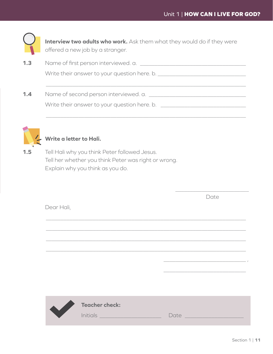\_\_\_\_\_\_\_\_\_\_\_\_\_\_\_\_\_\_\_\_\_\_\_\_\_ Date



**Interview two adults who work.** Ask them what they would do if they were offered a new job by a stranger.

**1.3** Name of first person interviewed. a. Write their answer to your question here. b. \_\_\_\_\_\_\_\_\_\_\_\_\_\_\_\_\_\_\_\_\_\_\_\_\_\_\_\_\_\_\_\_\_\_\_\_\_\_\_\_\_\_\_\_\_\_\_\_\_\_\_\_\_\_\_\_\_\_\_\_\_\_\_\_\_\_\_\_ **1.4** Name of second person interviewed. a. Write their answer to your question here. b. \_\_\_\_\_\_\_\_\_\_\_\_\_\_\_\_\_\_\_\_\_\_\_\_\_\_\_\_\_

\_\_\_\_\_\_\_\_\_\_\_\_\_\_\_\_\_\_\_\_\_\_\_\_\_\_\_\_\_\_\_\_\_\_\_\_\_\_\_\_\_\_\_\_\_\_\_\_\_\_\_\_\_\_\_\_\_\_\_\_\_\_\_\_\_\_\_\_



#### **Write a letter to Hali.**

**1.5** Tell Hali why you think Peter followed Jesus. Tell her whether you think Peter was right or wrong. Explain why you think as you do.

| Dear Hali,           |                                                                                                                     |                  |
|----------------------|---------------------------------------------------------------------------------------------------------------------|------------------|
|                      |                                                                                                                     |                  |
|                      |                                                                                                                     |                  |
|                      |                                                                                                                     |                  |
|                      |                                                                                                                     |                  |
|                      |                                                                                                                     |                  |
| $\blacktriangledown$ | <b>Teacher check:</b>                                                                                               |                  |
|                      | <b>Initials Executive Contract Contract Contract Contract Contract Contract Contract Contract Contract Contract</b> | Date ___________ |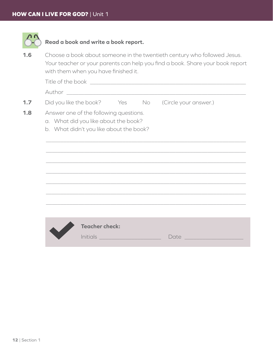

#### **Read a book and write a book report.**

**1.6** Choose a book about someone in the twentieth century who followed Jesus. Your teacher or your parents can help you find a book. Share your book report with them when you have finished it.

Title of the book was also the state of the book  $\mathcal{L}$ 

Author \_\_\_\_\_\_\_\_\_\_\_\_\_\_\_\_\_\_\_\_\_\_\_\_\_\_\_\_\_\_\_\_\_\_\_\_\_\_\_\_\_\_\_\_\_\_\_\_\_\_\_\_\_\_\_\_\_\_\_\_\_

- **1.7** Did you like the book? Yes No (Circle your answer.)
- **1.8** •• Answer one of the following questions.
	- a. What did you like about the book?
		- b. What didn't you like about the book?



\_\_\_\_\_\_\_\_\_\_\_\_\_\_\_\_\_\_\_\_\_\_\_\_\_\_\_\_\_\_\_\_\_\_\_\_\_\_\_\_\_\_\_\_\_\_\_\_\_\_\_\_\_\_\_\_\_\_\_\_\_\_\_\_\_\_\_\_

\_\_\_\_\_\_\_\_\_\_\_\_\_\_\_\_\_\_\_\_\_\_\_\_\_\_\_\_\_\_\_\_\_\_\_\_\_\_\_\_\_\_\_\_\_\_\_\_\_\_\_\_\_\_\_\_\_\_\_\_\_\_\_\_\_\_\_\_

\_\_\_\_\_\_\_\_\_\_\_\_\_\_\_\_\_\_\_\_\_\_\_\_\_\_\_\_\_\_\_\_\_\_\_\_\_\_\_\_\_\_\_\_\_\_\_\_\_\_\_\_\_\_\_\_\_\_\_\_\_\_\_\_\_\_\_\_

\_\_\_\_\_\_\_\_\_\_\_\_\_\_\_\_\_\_\_\_\_\_\_\_\_\_\_\_\_\_\_\_\_\_\_\_\_\_\_\_\_\_\_\_\_\_\_\_\_\_\_\_\_\_\_\_\_\_\_\_\_\_\_\_\_\_\_\_

\_\_\_\_\_\_\_\_\_\_\_\_\_\_\_\_\_\_\_\_\_\_\_\_\_\_\_\_\_\_\_\_\_\_\_\_\_\_\_\_\_\_\_\_\_\_\_\_\_\_\_\_\_\_\_\_\_\_\_\_\_\_\_\_\_\_\_\_

\_\_\_\_\_\_\_\_\_\_\_\_\_\_\_\_\_\_\_\_\_\_\_\_\_\_\_\_\_\_\_\_\_\_\_\_\_\_\_\_\_\_\_\_\_\_\_\_\_\_\_\_\_\_\_\_\_\_\_\_\_\_\_\_\_\_\_\_

\_\_\_\_\_\_\_\_\_\_\_\_\_\_\_\_\_\_\_\_\_\_\_\_\_\_\_\_\_\_\_\_\_\_\_\_\_\_\_\_\_\_\_\_\_\_\_\_\_\_\_\_\_\_\_\_\_\_\_\_\_\_\_\_\_\_\_\_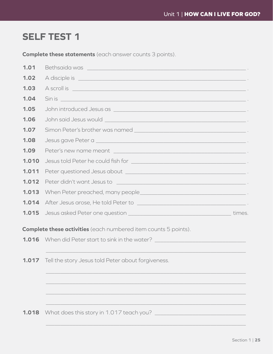### **SELF TEST 1**

**Complete these statements** (each answer counts 3 points).

| 1.01  |                                                                                                                                                                                                                                |  |  |
|-------|--------------------------------------------------------------------------------------------------------------------------------------------------------------------------------------------------------------------------------|--|--|
| 1.02  |                                                                                                                                                                                                                                |  |  |
| 1.03  | A scroll is contact that the contact of the contact of the contact of the contact of the contact of the contact of the contact of the contact of the contact of the contact of the contact of the contact of the contact of th |  |  |
| 1.04  | Sin is contract to the contract of the contract of the contract of the contract of the contract of the contract of                                                                                                             |  |  |
| 1.05  |                                                                                                                                                                                                                                |  |  |
| 1.06  | John said Jesus would with the state of the state of the state of the state of the state of the state of the state of the state of the state of the state of the state of the state of the state of the state of the state of  |  |  |
| 1.07  |                                                                                                                                                                                                                                |  |  |
| 1.08  |                                                                                                                                                                                                                                |  |  |
| 1.09  |                                                                                                                                                                                                                                |  |  |
| 1.010 |                                                                                                                                                                                                                                |  |  |
| 1.011 |                                                                                                                                                                                                                                |  |  |
| 1.012 | Peter didn't want Jesus to contract to the contract of the contract of the contract of the contract of the contract of the contract of the contract of the contract of the contract of the contract of the contract of the con |  |  |
| 1.013 |                                                                                                                                                                                                                                |  |  |
| 1.014 | After Jesus arose, He told Peter to entitled and the set of the set of the set of the set of the set of the set of the set of the set of the set of the set of the set of the set of the set of the set of the set of the set  |  |  |
| 1.015 |                                                                                                                                                                                                                                |  |  |
|       | <b>Complete these activities</b> (each numbered item counts 5 points).                                                                                                                                                         |  |  |
| 1.016 |                                                                                                                                                                                                                                |  |  |
| 1.017 | Tell the story Jesus told Peter about forgiveness.                                                                                                                                                                             |  |  |
|       |                                                                                                                                                                                                                                |  |  |
|       |                                                                                                                                                                                                                                |  |  |

 $\_$  , and the contribution of the contribution of  $\mathcal{L}_1$  , and the contribution of  $\mathcal{L}_2$  , and  $\mathcal{L}_3$ 

 $\_$  , and the contribution of the contribution of  $\mathcal{L}_1$  , and the contribution of  $\mathcal{L}_2$  , and  $\mathcal{L}_3$ 

**1.018** What does this story in 1.017 teach you?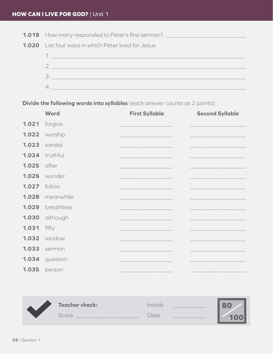**1.019** How many responded to Peter's first sermon? \_\_\_\_\_\_\_\_\_\_\_\_\_\_\_\_\_\_\_\_\_\_\_\_\_\_\_\_\_





**Divide the following words into syllables** (each answer counts as 2 points).

|       | <b>Word</b> | <b>First Syllable</b> | <b>Second Syllable</b> |
|-------|-------------|-----------------------|------------------------|
| 1.021 | forgive     |                       |                        |
| 1.022 | worship     |                       |                        |
| 1.023 | sandal      |                       |                        |
| 1.024 | truthful    |                       |                        |
| 1.025 | after       |                       |                        |
| 1.026 | wonder      |                       |                        |
| 1.027 | follow      |                       |                        |
| 1.028 | meanwhile   |                       |                        |
| 1.029 | breathless  |                       |                        |
| 1.030 | although    |                       |                        |
| 1.031 | fifty       |                       |                        |
| 1.032 | window      |                       |                        |
| 1.033 | sermon      |                       |                        |
| 1.034 | question    |                       |                        |
| 1.035 | person      |                       |                        |